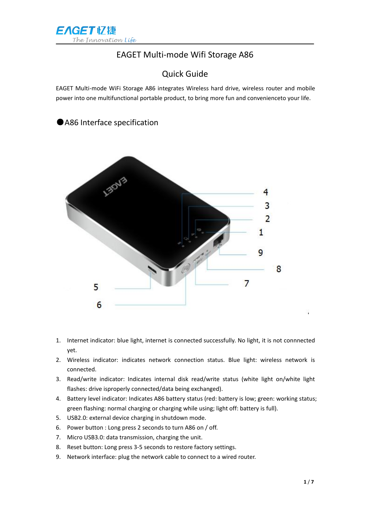

# EAGET Multi-mode Wifi Storage A86

# Quick Guide

EAGET Multi-mode WiFi Storage A86 integrates Wireless hard drive, wireless router and mobile power into one multifunctional portable product, to bring more fun and convenienceto your life.

# ●A86 Interface specification



- 1. Internet indicator: blue light, internet is connected successfully. No light, it is not connnected yet.
- 2. Wireless indicator: indicates network connection status. Blue light: wireless network is connected.
- 3. Read/write indicator: Indicates internal disk read/write status (white light on/white light flashes: drive isproperly connected/data being exchanged).
- 4. Battery level indicator: Indicates A86 battery status (red: battery is low; green: working status; green flashing: normal charging or charging while using; light off: battery is full).
- 5. USB2.0: external device charging in shutdown mode.
- 6. Power button : Long press 2 seconds to turn A86 on / off.
- 7. Micro USB3.0: data transmission, charging the unit.
- 8. Reset button: Long press 3-5 seconds to restore factory settings.
- 9. Network interface: plug the network cable to connect to a wired router.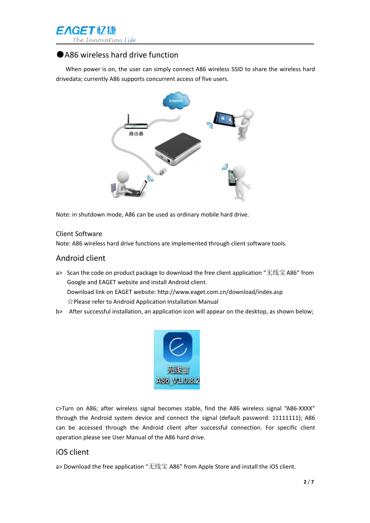

# ●A86 wireless hard drive function

When power is on, the user can simply connect A86 wireless SSID to share the wireless hard drivedata; currently A86 supports concurrent access of five users.



Note: in shutdown mode, A86 can be used as ordinary mobile hard drive.

### Client Software

Note: A86 wireless hard drive functions are implemented through client software tools.

### Android client

- a> Scan the code on product package to download the free client application "无线宝A86" from Google and EAGET website and install Android client. Download link on EAGET website: http://www.eaget.com.cn/download/index.asp ☆Please refer to Android Application Installation Manual
- b> After successful installation, an application icon will appear on the desktop, as shown below;



c>Turn on A86; after wireless signal becomes stable, find the A86 wireless signal "A86-XXXX" through the Android system device and connect the signal (default password: 11111111); A86 can be accessed through the Android client after successful connection. For specific client operation please see User Manual of the A86 hard drive.

## iOS client

a> Download the free application "无线宝 A86" from Apple Store and install the iOS client.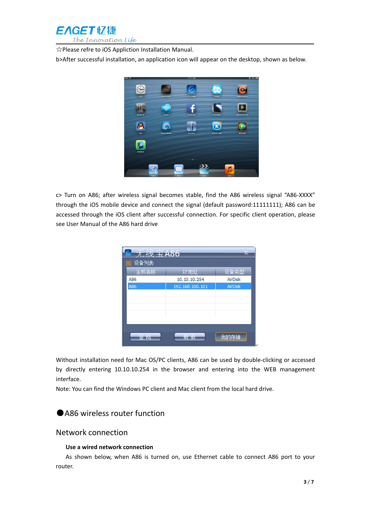

☆Please refre to iOS Appliction Installation Manual.

b>After successful installation, an application icon will appear on the desktop, shown as below.



c> Turn on A86; after wireless signal becomes stable, find the A86 wireless signal "A86-XXXX" through the iOS mobile device and connect the signal (default password:11111111); A86 can be accessed through the iOS client after successful connection. For specific client operation, please see User Manual of the A86 hard drive

| 九纹玉A86<br>设备列表 |                     |                |
|----------------|---------------------|----------------|
| 主机名称           | IP地址                | 设备类型           |
| A86            | 10.10.10.254        | <b>AirDisk</b> |
| A86            | 192.168.100.101     | <b>AirDisk</b> |
|                |                     |                |
|                |                     |                |
|                |                     |                |
|                |                     |                |
|                |                     |                |
| <b>Compre</b>  | <b>City mission</b> | 我的存储           |

Without installation need for Mac OS/PC clients, A86 can be used by double-clicking or accessed by directly entering 10.10.10.254 in the browser and entering into the WEB management interface.

Note: You can find the Windows PC client and Mac client from the local hard drive.

# ●A86 wireless router function

### Network connection

#### **Use a wired network connection**

As shown below, when A86 is turned on, use Ethernet cable to connect A86 port to your router.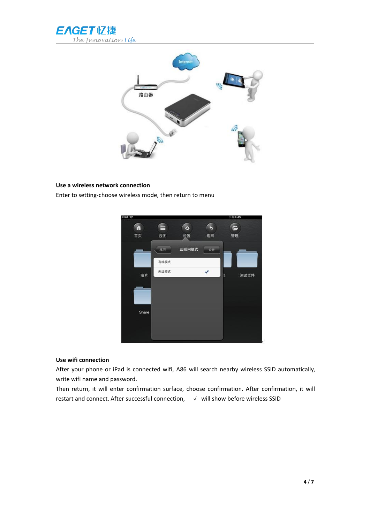



### **Use a wireless network connection**

Enter to setting-choose wireless mode, then return to menu



#### **Use wifi connection**

After your phone or iPad is connected wifi, A86 will search nearby wireless SSID automatically, write wifi name and password.

Then return, it will enter confirmation surface, choose confirmation. After confirmation, it will restart and connect. After successful connection, √ will show before wireless SSID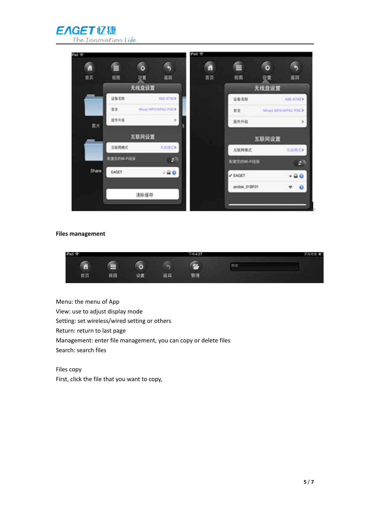



#### **Files management**



Menu: the menu of App

View: use to adjust display mode

Setting: set wireless/wired setting or others

Return: return to last page

Management: enter file management, you can copy or delete files

Search: search files

Files copy First, click the file that you want to copy,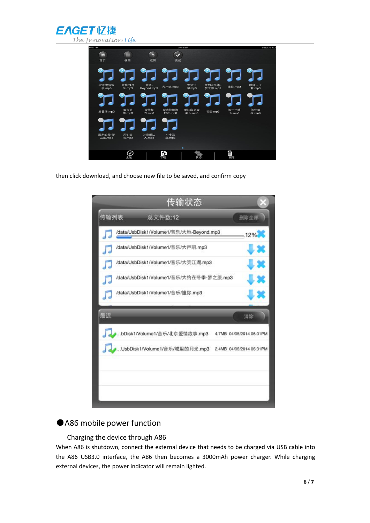



then click download, and choose new file to be saved, and confirm copy



# ●A86 mobile power function

### Charging the device through A86

When A86 is shutdown, connect the external device that needs to be charged via USB cable into the A86 USB3.0 interface, the A86 then becomes a 3000mAh power charger. While charging external devices, the power indicator will remain lighted.